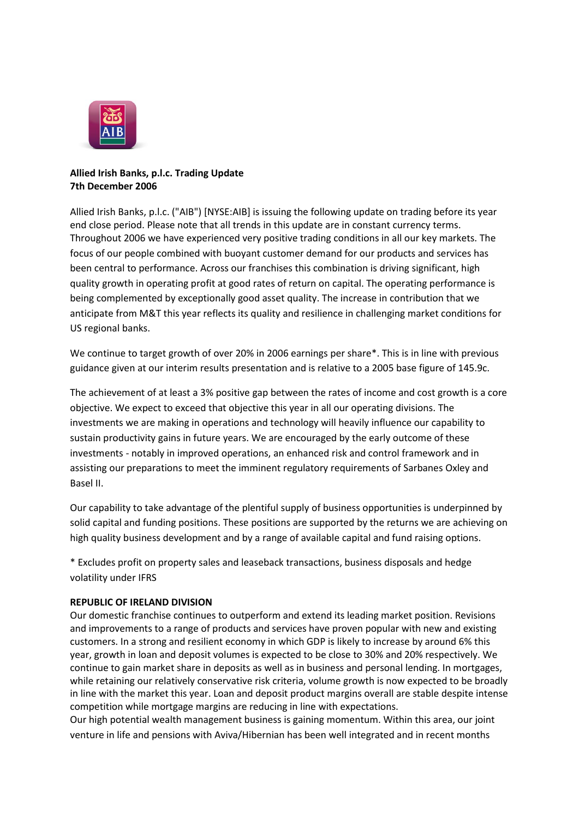

## **Allied Irish Banks, p.l.c. Trading Update 7th December 2006**

Allied Irish Banks, p.l.c. ("AIB") [NYSE:AIB] is issuing the following update on trading before its year end close period. Please note that all trends in this update are in constant currency terms. Throughout 2006 we have experienced very positive trading conditions in all our key markets. The focus of our people combined with buoyant customer demand for our products and services has been central to performance. Across our franchises this combination is driving significant, high quality growth in operating profit at good rates of return on capital. The operating performance is being complemented by exceptionally good asset quality. The increase in contribution that we anticipate from M&T this year reflects its quality and resilience in challenging market conditions for US regional banks.

We continue to target growth of over 20% in 2006 earnings per share\*. This is in line with previous guidance given at our interim results presentation and is relative to a 2005 base figure of 145.9c.

The achievement of at least a 3% positive gap between the rates of income and cost growth is a core objective. We expect to exceed that objective this year in all our operating divisions. The investments we are making in operations and technology will heavily influence our capability to sustain productivity gains in future years. We are encouraged by the early outcome of these investments - notably in improved operations, an enhanced risk and control framework and in assisting our preparations to meet the imminent regulatory requirements of Sarbanes Oxley and Basel II.

Our capability to take advantage of the plentiful supply of business opportunities is underpinned by solid capital and funding positions. These positions are supported by the returns we are achieving on high quality business development and by a range of available capital and fund raising options.

\* Excludes profit on property sales and leaseback transactions, business disposals and hedge volatility under IFRS

# **REPUBLIC OF IRELAND DIVISION**

Our domestic franchise continues to outperform and extend its leading market position. Revisions and improvements to a range of products and services have proven popular with new and existing customers. In a strong and resilient economy in which GDP is likely to increase by around 6% this year, growth in loan and deposit volumes is expected to be close to 30% and 20% respectively. We continue to gain market share in deposits as well as in business and personal lending. In mortgages, while retaining our relatively conservative risk criteria, volume growth is now expected to be broadly in line with the market this year. Loan and deposit product margins overall are stable despite intense competition while mortgage margins are reducing in line with expectations.

Our high potential wealth management business is gaining momentum. Within this area, our joint venture in life and pensions with Aviva/Hibernian has been well integrated and in recent months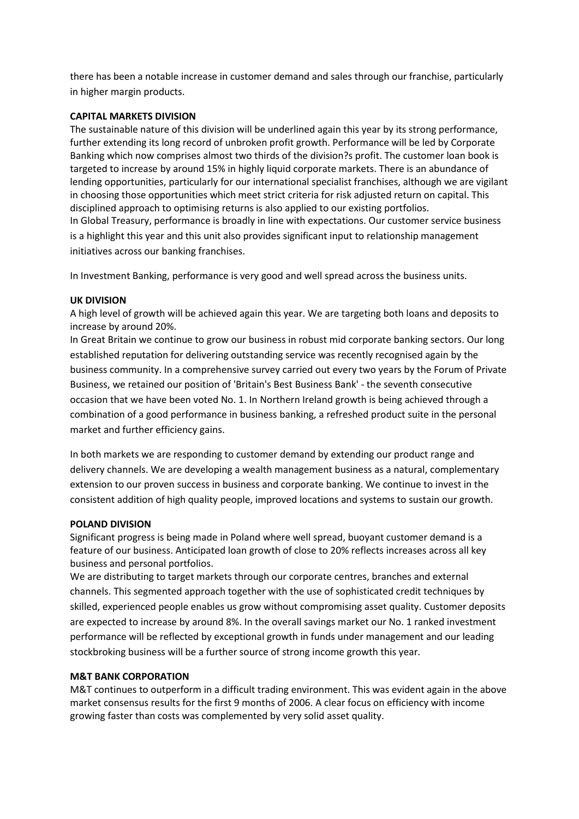there has been a notable increase in customer demand and sales through our franchise, particularly in higher margin products.

## **CAPITAL MARKETS DIVISION**

The sustainable nature of this division will be underlined again this year by its strong performance, further extending its long record of unbroken profit growth. Performance will be led by Corporate Banking which now comprises almost two thirds of the division?s profit. The customer loan book is targeted to increase by around 15% in highly liquid corporate markets. There is an abundance of lending opportunities, particularly for our international specialist franchises, although we are vigilant in choosing those opportunities which meet strict criteria for risk adjusted return on capital. This disciplined approach to optimising returns is also applied to our existing portfolios. In Global Treasury, performance is broadly in line with expectations. Our customer service business is a highlight this year and this unit also provides significant input to relationship management initiatives across our banking franchises.

In Investment Banking, performance is very good and well spread across the business units.

### **UK DIVISION**

A high level of growth will be achieved again this year. We are targeting both loans and deposits to increase by around 20%.

In Great Britain we continue to grow our business in robust mid corporate banking sectors. Our long established reputation for delivering outstanding service was recently recognised again by the business community. In a comprehensive survey carried out every two years by the Forum of Private Business, we retained our position of 'Britain's Best Business Bank' - the seventh consecutive occasion that we have been voted No. 1. In Northern Ireland growth is being achieved through a combination of a good performance in business banking, a refreshed product suite in the personal market and further efficiency gains.

In both markets we are responding to customer demand by extending our product range and delivery channels. We are developing a wealth management business as a natural, complementary extension to our proven success in business and corporate banking. We continue to invest in the consistent addition of high quality people, improved locations and systems to sustain our growth.

### **POLAND DIVISION**

Significant progress is being made in Poland where well spread, buoyant customer demand is a feature of our business. Anticipated loan growth of close to 20% reflects increases across all key business and personal portfolios.

We are distributing to target markets through our corporate centres, branches and external channels. This segmented approach together with the use of sophisticated credit techniques by skilled, experienced people enables us grow without compromising asset quality. Customer deposits are expected to increase by around 8%. In the overall savings market our No. 1 ranked investment performance will be reflected by exceptional growth in funds under management and our leading stockbroking business will be a further source of strong income growth this year.

### **M&T BANK CORPORATION**

M&T continues to outperform in a difficult trading environment. This was evident again in the above market consensus results for the first 9 months of 2006. A clear focus on efficiency with income growing faster than costs was complemented by very solid asset quality.